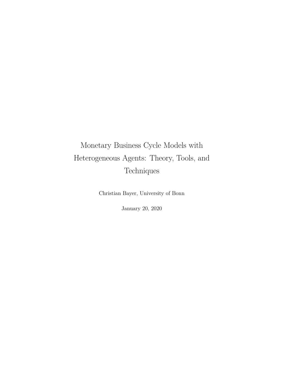# <span id="page-0-0"></span>Monetary Business Cycle Models with Heterogeneous Agents: Theory, Tools, and Techniques

Christian Bayer, University of Bonn

January 20, 2020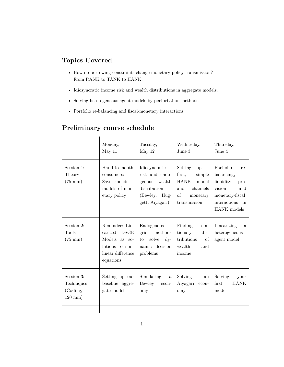## **Topics Covered**

- How do borrowing constraints change monetary policy transmission? From RANK to TANK to HANK.
- Idiosyncratic income risk and wealth distributions in aggregate models.
- Solving heterogeneous agent models by perturbation methods.
- Portfolio re-balancing and fiscal-monetary interactions

## **Preliminary course schedule**

|                                                             | Monday,<br>May 11                                                                                              | Tuesday,<br>May 12                                                                                                | Wednesday,<br>June 3                                                                                                | Thursday,<br>June 4                                                                                                                  |
|-------------------------------------------------------------|----------------------------------------------------------------------------------------------------------------|-------------------------------------------------------------------------------------------------------------------|---------------------------------------------------------------------------------------------------------------------|--------------------------------------------------------------------------------------------------------------------------------------|
| Session 1:<br>Theory<br>$(75 \text{ min})$                  | Hand-to-mouth<br>consumers:<br>Saver-spender<br>models of mon-<br>etary policy                                 | Idiosyncratic<br>risk and endo-<br>genous wealth<br>distribution<br>(Bewley, Hug-<br>gett, Aiyagari)              | Setting<br><b>up</b><br>a<br>first,<br>simple<br>HANK<br>model<br>and<br>channels<br>οf<br>monetary<br>transmission | Portfolio<br>re-<br>balancing,<br>liquidity<br>pro-<br>vision<br>and<br>monetary-fiscal<br>interactions<br>$\cdot$ in<br>HANK models |
| Session 2:<br><b>Tools</b><br>$(75 \text{ min})$            | Reminder: Lin-<br><b>DSGE</b><br>earized<br>Models as so-<br>lutions to non-<br>linear difference<br>equations | Endogenous<br>methods<br>grid<br>solve<br>$\mathrm{d}v$ -<br>$\mathop{\mathrm{to}}$<br>namic decision<br>problems | Finding<br>sta-<br>tionary<br>$dis-$<br>tributions<br>of<br>wealth<br>and<br>income                                 | Linearizing<br>a<br>heterogeneous<br>agent model                                                                                     |
| Session 3:<br>Techniques<br>(Coding,<br>$120 \text{ min}$ ) | Setting up our<br>baseline aggre-<br>gate model                                                                | Simulating<br>$\mathbf{a}$<br>Bewley<br>econ-<br>omy                                                              | Solving<br>an<br>Aiyagari<br>econ-<br>omy                                                                           | Solving<br>your<br><b>HANK</b><br>first<br>model                                                                                     |